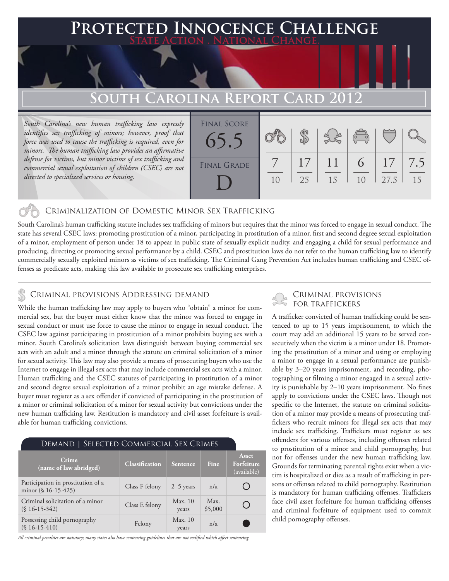### **FED INNOCENCE CHALLENGE State Action . National Change.**

## **South Carolina Report Card 2012**

*South Carolina's new human trafficking law expressly identifies sex trafficking of minors; however, proof that force was used to cause the trafficking is required, even for minors. The human trafficking law provides an affirmative defense for victims, but minor victims of sex trafficking and commercial sexual exploitation of children (CSEC) are not directed to specialized services or housing.*



### Criminalization of Domestic Minor Sex Trafficking

South Carolina's human trafficking statute includes sex trafficking of minors but requires that the minor was forced to engage in sexual conduct. The state has several CSEC laws: promoting prostitution of a minor, participating in prostitution of a minor, first and second degree sexual exploitation of a minor, employment of person under 18 to appear in public state of sexually explicit nudity, and engaging a child for sexual performance and producing, directing or promoting sexual performance by a child. CSEC and prostitution laws do not refer to the human trafficking law to identify commercially sexually exploited minors as victims of sex trafficking. The Criminal Gang Prevention Act includes human trafficking and CSEC offenses as predicate acts, making this law available to prosecute sex trafficking enterprises.

### CRIMINAL PROVISIONS ADDRESSING DEMAND

While the human trafficking law may apply to buyers who "obtain" a minor for commercial sex, but the buyer must either know that the minor was forced to engage in sexual conduct or must use force to cause the minor to engage in sexual conduct. The CSEC law against participating in prostitution of a minor prohibits buying sex with a minor. South Carolina's solicitation laws distinguish between buying commercial sex acts with an adult and a minor through the statute on criminal solicitation of a minor for sexual activity. This law may also provide a means of prosecuting buyers who use the Internet to engage in illegal sex acts that may include commercial sex acts with a minor. Human trafficking and the CSEC statutes of participating in prostitution of a minor and second degree sexual exploitation of a minor prohibit an age mistake defense. A buyer must register as a sex offender if convicted of participating in the prostitution of a minor or criminal solicitation of a minor for sexual activity but convictions under the new human trafficking law. Restitution is mandatory and civil asset forfeiture is available for human trafficking convictions.

| DEMAND   SELECTED COMMERCIAL SEX CRIMES                      |                       |                  |                 |                                    |
|--------------------------------------------------------------|-----------------------|------------------|-----------------|------------------------------------|
| Crime<br>(name of law abridged)                              | <b>Classification</b> | Sentence         | <b>Fine</b>     | Asset<br>Forfeiture<br>(available) |
| Participation in prostitution of a<br>minor $(\S 16-15-425)$ | Class F felony        | $2-5$ years      | n/a             |                                    |
| Criminal solicitation of a minor<br>$(S16-15-342)$           | Class E felony        | Max. 10<br>years | Max.<br>\$5,000 |                                    |
| Possessing child pornography<br>$(S16-15-410)$               | Felony                | Max. 10<br>years | n/a             |                                    |

*All criminal penalties are statutory; many states also have sentencing guidelines that are not codified which affect sentencing.* 

# Criminal provisions

A trafficker convicted of human trafficking could be sentenced to up to 15 years imprisonment, to which the court may add an additional 15 years to be served consecutively when the victim is a minor under 18. Promoting the prostitution of a minor and using or employing a minor to engage in a sexual performance are punishable by 3–20 years imprisonment, and recording, photographing or filming a minor engaged in a sexual activity is punishable by 2–10 years imprisonment. No fines apply to convictions under the CSEC laws. Though not specific to the Internet, the statute on criminal solicitation of a minor may provide a means of prosecuting traffickers who recruit minors for illegal sex acts that may include sex trafficking. Traffickers must register as sex offenders for various offenses, including offenses related to prostitution of a minor and child pornography, but not for offenses under the new human trafficking law. Grounds for terminating parental rights exist when a victim is hospitalized or dies as a result of trafficking in persons or offenses related to child pornography. Restitution is mandatory for human trafficking offenses. Traffickers face civil asset forfeiture for human trafficking offenses and criminal forfeiture of equipment used to commit child pornography offenses.